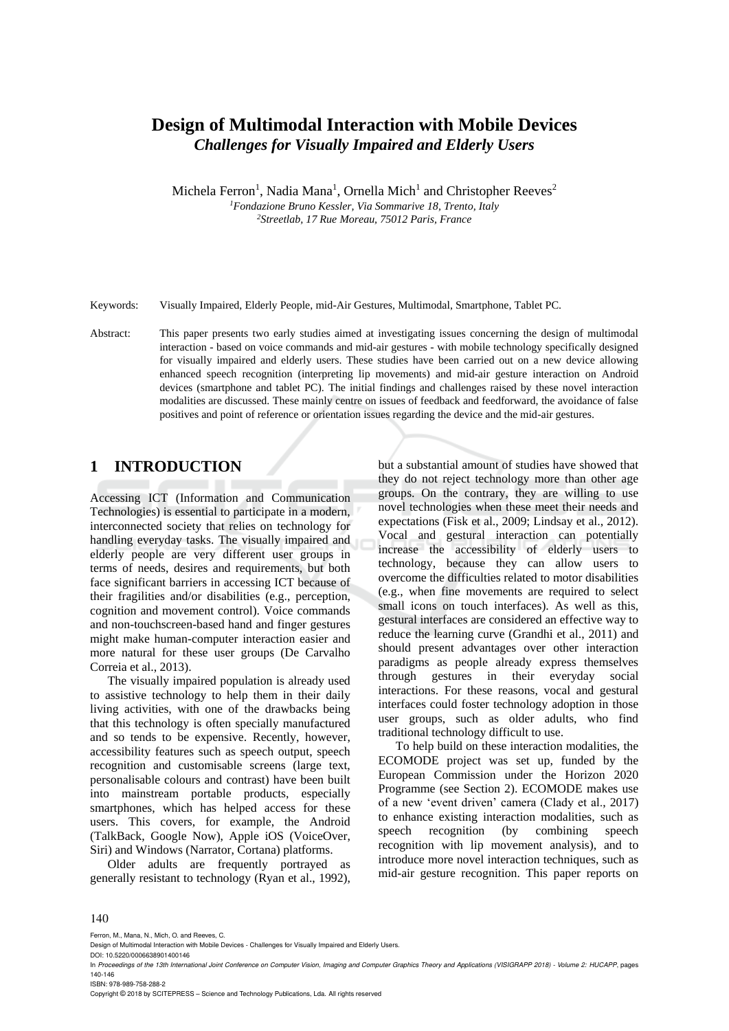# **Design of Multimodal Interaction with Mobile Devices** *Challenges for Visually Impaired and Elderly Users*

Michela Ferron<sup>1</sup>, Nadia Mana<sup>1</sup>, Ornella Mich<sup>1</sup> and Christopher Reeves<sup>2</sup> *<sup>1</sup>Fondazione Bruno Kessler, Via Sommarive 18, Trento, Italy <sup>2</sup>Streetlab, 17 Rue Moreau, 75012 Paris, France*

Keywords: Visually Impaired, Elderly People, mid-Air Gestures, Multimodal, Smartphone, Tablet PC.

Abstract: This paper presents two early studies aimed at investigating issues concerning the design of multimodal interaction - based on voice commands and mid-air gestures - with mobile technology specifically designed for visually impaired and elderly users. These studies have been carried out on a new device allowing enhanced speech recognition (interpreting lip movements) and mid-air gesture interaction on Android devices (smartphone and tablet PC). The initial findings and challenges raised by these novel interaction modalities are discussed. These mainly centre on issues of feedback and feedforward, the avoidance of false positives and point of reference or orientation issues regarding the device and the mid-air gestures.

## **1 INTRODUCTION**

Accessing ICT (Information and Communication Technologies) is essential to participate in a modern, interconnected society that relies on technology for handling everyday tasks. The visually impaired and elderly people are very different user groups in terms of needs, desires and requirements, but both face significant barriers in accessing ICT because of their fragilities and/or disabilities (e.g., perception, cognition and movement control). Voice commands and non-touchscreen-based hand and finger gestures might make human-computer interaction easier and more natural for these user groups (De Carvalho Correia et al., 2013).

The visually impaired population is already used to assistive technology to help them in their daily living activities, with one of the drawbacks being that this technology is often specially manufactured and so tends to be expensive. Recently, however, accessibility features such as speech output, speech recognition and customisable screens (large text, personalisable colours and contrast) have been built into mainstream portable products, especially smartphones, which has helped access for these users. This covers, for example, the Android (TalkBack, Google Now), Apple iOS (VoiceOver, Siri) and Windows (Narrator, Cortana) platforms.

Older adults are frequently portrayed as generally resistant to technology (Ryan et al., 1992),

but a substantial amount of studies have showed that they do not reject technology more than other age groups. On the contrary, they are willing to use novel technologies when these meet their needs and expectations (Fisk et al., 2009; Lindsay et al., 2012). Vocal and gestural interaction can potentially increase the accessibility of elderly users to technology, because they can allow users to overcome the difficulties related to motor disabilities (e.g., when fine movements are required to select small icons on touch interfaces). As well as this, gestural interfaces are considered an effective way to reduce the learning curve (Grandhi et al., 2011) and should present advantages over other interaction paradigms as people already express themselves through gestures in their everyday social interactions. For these reasons, vocal and gestural interfaces could foster technology adoption in those user groups, such as older adults, who find traditional technology difficult to use.

To help build on these interaction modalities, the ECOMODE project was set up, funded by the European Commission under the Horizon 2020 Programme (see Section 2). ECOMODE makes use of a new 'event driven' camera (Clady et al., 2017) to enhance existing interaction modalities, such as speech recognition (by combining speech recognition with lip movement analysis), and to introduce more novel interaction techniques, such as mid-air gesture recognition. This paper reports on

#### 140

Ferron, M., Mana, N., Mich, O. and Reeves, C.

DOI: 10.5220/0006638901400146

ISBN: 978-989-758-288-2

Copyright © 2018 by SCITEPRESS – Science and Technology Publications, Lda. All rights reserved

Design of Multimodal Interaction with Mobile Devices - Challenges for Visually Impaired and Elderly Users.

In *Proceedings of the 13th International Joint Conference on Computer Vision, Imaging and Computer Graphics Theory and Applications (VISIGRAPP 2018) - Volume 2: HUCAPP*, pages 140-146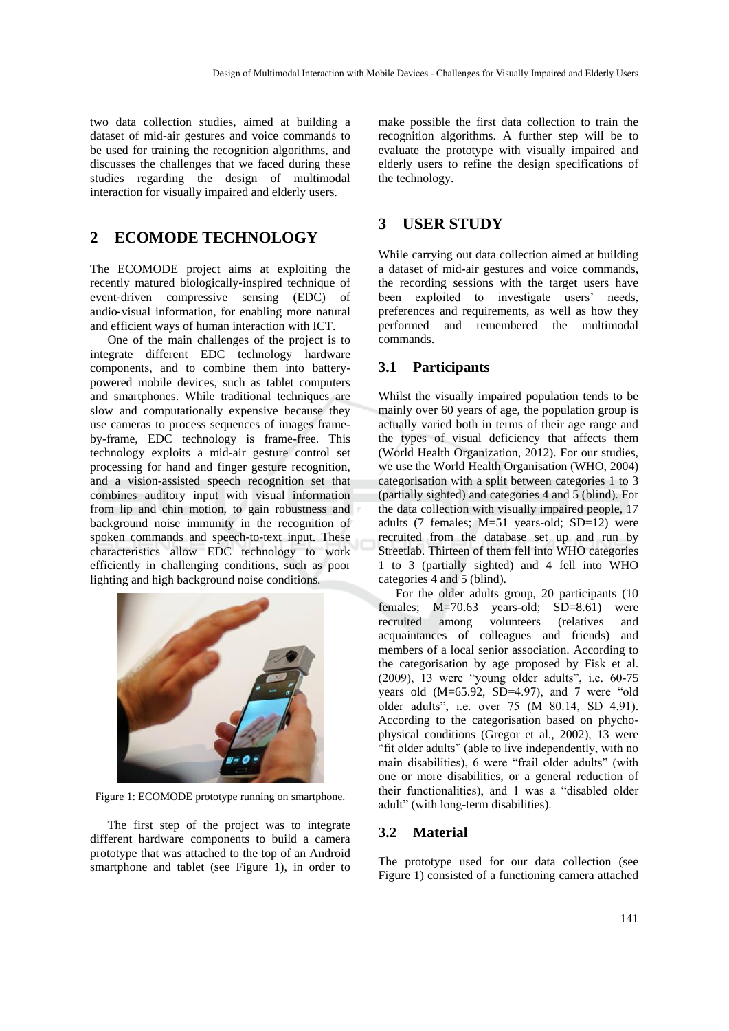two data collection studies, aimed at building a dataset of mid-air gestures and voice commands to be used for training the recognition algorithms, and discusses the challenges that we faced during these studies regarding the design of multimodal interaction for visually impaired and elderly users.

## **2 ECOMODE TECHNOLOGY**

The ECOMODE project aims at exploiting the recently matured biologically‐inspired technique of event‐driven compressive sensing (EDC) of audio‐visual information, for enabling more natural and efficient ways of human interaction with ICT.

One of the main challenges of the project is to integrate different EDC technology hardware components, and to combine them into batterypowered mobile devices, such as tablet computers and smartphones. While traditional techniques are slow and computationally expensive because they use cameras to process sequences of images frameby-frame, EDC technology is frame-free. This technology exploits a mid-air gesture control set processing for hand and finger gesture recognition, and a vision-assisted speech recognition set that combines auditory input with visual information from lip and chin motion, to gain robustness and background noise immunity in the recognition of spoken commands and speech-to-text input. These characteristics allow EDC technology to work efficiently in challenging conditions, such as poor lighting and high background noise conditions.



Figure 1: ECOMODE prototype running on smartphone.

The first step of the project was to integrate different hardware components to build a camera prototype that was attached to the top of an Android smartphone and tablet (see Figure 1), in order to

make possible the first data collection to train the recognition algorithms. A further step will be to evaluate the prototype with visually impaired and elderly users to refine the design specifications of the technology.

## **3 USER STUDY**

While carrying out data collection aimed at building a dataset of mid-air gestures and voice commands, the recording sessions with the target users have been exploited to investigate users' needs, preferences and requirements, as well as how they performed and remembered the multimodal commands.

### **3.1 Participants**

Whilst the visually impaired population tends to be mainly over 60 years of age, the population group is actually varied both in terms of their age range and the types of visual deficiency that affects them (World Health Organization, 2012). For our studies, we use the World Health Organisation (WHO, 2004) categorisation with a split between categories 1 to 3 (partially sighted) and categories 4 and 5 (blind). For the data collection with visually impaired people, 17 adults (7 females; M=51 years-old; SD=12) were recruited from the database set up and run by Streetlab. Thirteen of them fell into WHO categories 1 to 3 (partially sighted) and 4 fell into WHO categories 4 and 5 (blind).

For the older adults group, 20 participants (10 females; M=70.63 years-old; SD=8.61) were recruited among volunteers (relatives and acquaintances of colleagues and friends) and members of a local senior association. According to the categorisation by age proposed by Fisk et al. (2009), 13 were "young older adults", i.e. 60-75 years old  $(M=65.92, SD=4.97)$ , and 7 were "old older adults", i.e. over  $75$  (M=80.14, SD=4.91). According to the categorisation based on phychophysical conditions (Gregor et al., 2002), 13 were "fit older adults" (able to live independently, with no main disabilities), 6 were "frail older adults" (with one or more disabilities, or a general reduction of their functionalities), and 1 was a "disabled older adult" (with long-term disabilities).

#### **3.2 Material**

The prototype used for our data collection (see Figure 1) consisted of a functioning camera attached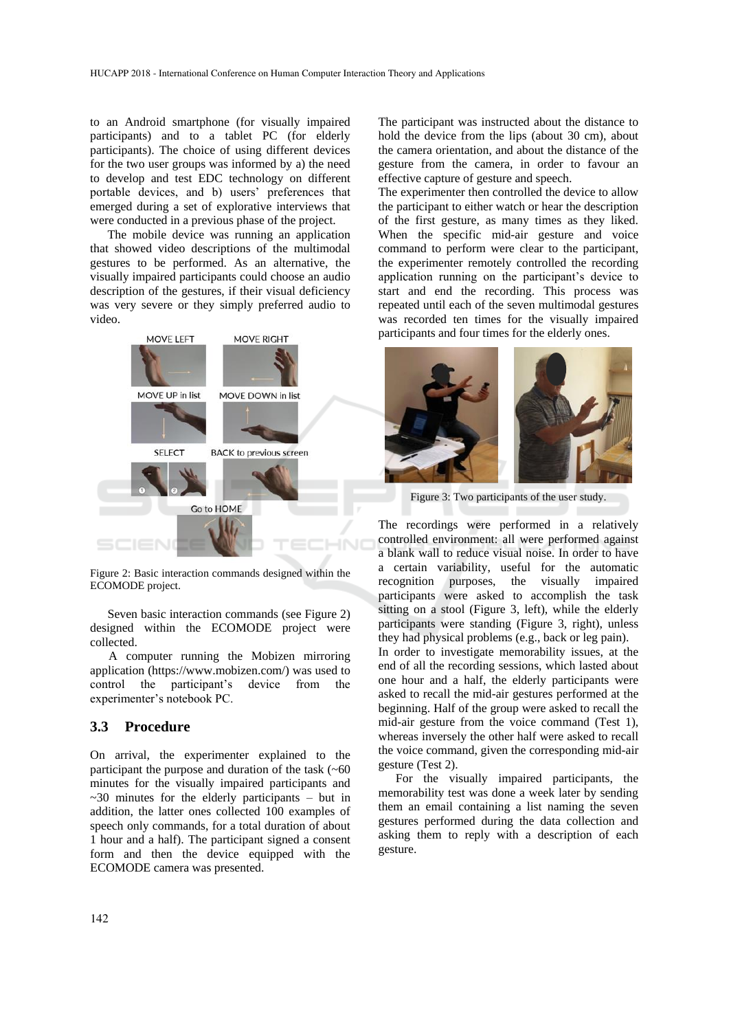to an Android smartphone (for visually impaired participants) and to a tablet PC (for elderly participants). The choice of using different devices for the two user groups was informed by a) the need to develop and test EDC technology on different portable devices, and b) users' preferences that emerged during a set of explorative interviews that were conducted in a previous phase of the project.

The mobile device was running an application that showed video descriptions of the multimodal gestures to be performed. As an alternative, the visually impaired participants could choose an audio description of the gestures, if their visual deficiency was very severe or they simply preferred audio to video.



Figure 2: Basic interaction commands designed within the ECOMODE project.

Seven basic interaction commands (see Figure 2) designed within the ECOMODE project were collected.

A computer running the Mobizen mirroring application (https://www.mobizen.com/) was used to control the participant's device from the experimenter's notebook PC.

### **3.3 Procedure**

On arrival, the experimenter explained to the participant the purpose and duration of the task  $(-60)$ minutes for the visually impaired participants and  $\sim$ 30 minutes for the elderly participants – but in addition, the latter ones collected 100 examples of speech only commands, for a total duration of about 1 hour and a half). The participant signed a consent form and then the device equipped with the ECOMODE camera was presented.

The participant was instructed about the distance to hold the device from the lips (about 30 cm), about the camera orientation, and about the distance of the gesture from the camera, in order to favour an effective capture of gesture and speech.

The experimenter then controlled the device to allow the participant to either watch or hear the description of the first gesture, as many times as they liked. When the specific mid-air gesture and voice command to perform were clear to the participant, the experimenter remotely controlled the recording application running on the participant's device to start and end the recording. This process was repeated until each of the seven multimodal gestures was recorded ten times for the visually impaired participants and four times for the elderly ones.



Figure 3: Two participants of the user study.

The recordings were performed in a relatively controlled environment: all were performed against a blank wall to reduce visual noise. In order to have a certain variability, useful for the automatic recognition purposes, the visually impaired participants were asked to accomplish the task sitting on a stool (Figure 3, left), while the elderly participants were standing (Figure 3, right), unless they had physical problems (e.g., back or leg pain). In order to investigate memorability issues, at the end of all the recording sessions, which lasted about one hour and a half, the elderly participants were asked to recall the mid-air gestures performed at the beginning. Half of the group were asked to recall the

mid-air gesture from the voice command (Test 1), whereas inversely the other half were asked to recall the voice command, given the corresponding mid-air gesture (Test 2).

For the visually impaired participants, the memorability test was done a week later by sending them an email containing a list naming the seven gestures performed during the data collection and asking them to reply with a description of each gesture.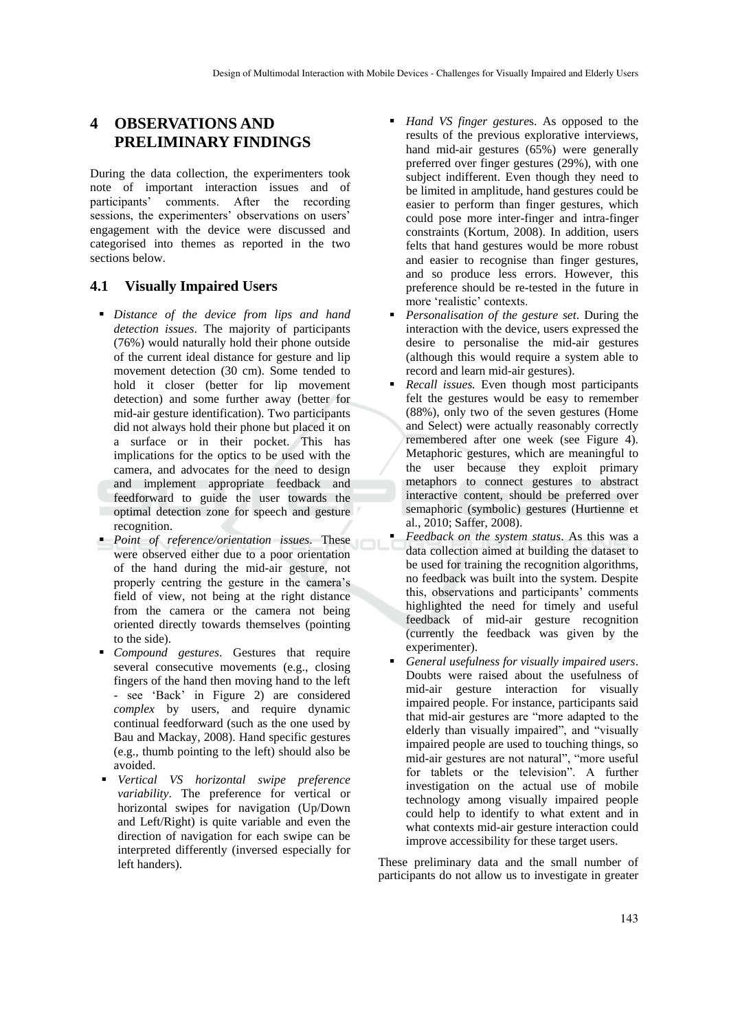# **4 OBSERVATIONS AND PRELIMINARY FINDINGS**

During the data collection, the experimenters took note of important interaction issues and of participants' comments. After the recording sessions, the experimenters' observations on users' engagement with the device were discussed and categorised into themes as reported in the two sections below.

## **4.1 Visually Impaired Users**

- *Distance of the device from lips and hand detection issues*. The majority of participants (76%) would naturally hold their phone outside of the current ideal distance for gesture and lip movement detection (30 cm). Some tended to hold it closer (better for lip movement detection) and some further away (better for mid-air gesture identification). Two participants did not always hold their phone but placed it on a surface or in their pocket. This has implications for the optics to be used with the camera, and advocates for the need to design and implement appropriate feedback and feedforward to guide the user towards the optimal detection zone for speech and gesture recognition.
- *Point of reference/orientation issues*. These were observed either due to a poor orientation of the hand during the mid-air gesture, not properly centring the gesture in the camera's field of view, not being at the right distance from the camera or the camera not being oriented directly towards themselves (pointing to the side).
- *Compound gestures*. Gestures that require several consecutive movements (e.g., closing fingers of the hand then moving hand to the left - see 'Back' in Figure 2) are considered *complex* by users, and require dynamic continual feedforward (such as the one used by Bau and Mackay, 2008). Hand specific gestures (e.g., thumb pointing to the left) should also be avoided.
- *Vertical VS horizontal swipe preference variability*. The preference for vertical or horizontal swipes for navigation (Up/Down and Left/Right) is quite variable and even the direction of navigation for each swipe can be interpreted differently (inversed especially for left handers).
- Hand VS finger gestures. As opposed to the results of the previous explorative interviews, hand mid-air gestures (65%) were generally preferred over finger gestures (29%), with one subject indifferent. Even though they need to be limited in amplitude, hand gestures could be easier to perform than finger gestures, which could pose more inter-finger and intra-finger constraints (Kortum, 2008). In addition, users felts that hand gestures would be more robust and easier to recognise than finger gestures, and so produce less errors. However, this preference should be re-tested in the future in more 'realistic' contexts.
- *Personalisation of the gesture set*. During the interaction with the device, users expressed the desire to personalise the mid-air gestures (although this would require a system able to record and learn mid-air gestures).
- *Recall issues.* Even though most participants felt the gestures would be easy to remember (88%), only two of the seven gestures (Home and Select) were actually reasonably correctly remembered after one week (see Figure 4). Metaphoric gestures, which are meaningful to the user because they exploit primary metaphors to connect gestures to abstract interactive content, should be preferred over semaphoric (symbolic) gestures (Hurtienne et al., 2010; Saffer, 2008).
- *Feedback on the system status*. As this was a data collection aimed at building the dataset to be used for training the recognition algorithms, no feedback was built into the system. Despite this, observations and participants' comments highlighted the need for timely and useful feedback of mid-air gesture recognition (currently the feedback was given by the experimenter).
- *General usefulness for visually impaired users*. Doubts were raised about the usefulness of mid-air gesture interaction for visually impaired people. For instance, participants said that mid-air gestures are "more adapted to the elderly than visually impaired", and "visually impaired people are used to touching things, so mid-air gestures are not natural", "more useful for tablets or the television". A further investigation on the actual use of mobile technology among visually impaired people could help to identify to what extent and in what contexts mid-air gesture interaction could improve accessibility for these target users.

These preliminary data and the small number of participants do not allow us to investigate in greater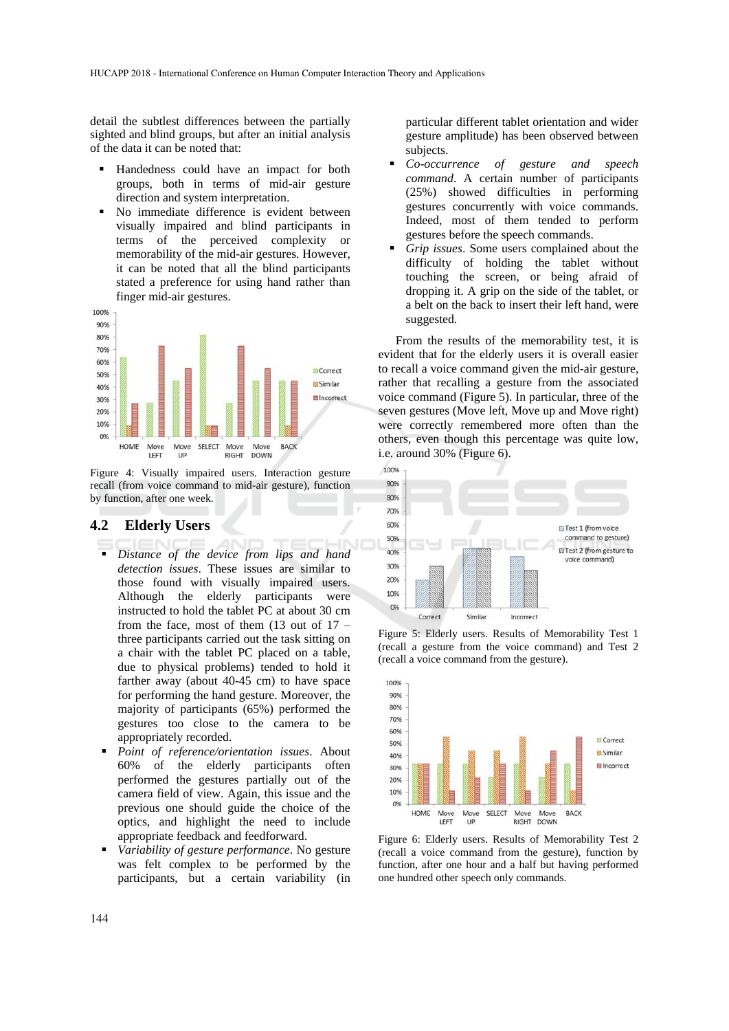detail the subtlest differences between the partially sighted and blind groups, but after an initial analysis of the data it can be noted that:

- Handedness could have an impact for both groups, both in terms of mid-air gesture direction and system interpretation.
- No immediate difference is evident between visually impaired and blind participants in terms of the perceived complexity or memorability of the mid-air gestures. However, it can be noted that all the blind participants stated a preference for using hand rather than finger mid-air gestures.



Figure 4: Visually impaired users. Interaction gesture recall (from voice command to mid-air gesture), function by function, after one week.

#### **4.2 Elderly Users**

- *Distance of the device from lips and hand detection issues*. These issues are similar to those found with visually impaired users. Although the elderly participants were instructed to hold the tablet PC at about 30 cm from the face, most of them  $(13 \text{ out of } 17$ three participants carried out the task sitting on a chair with the tablet PC placed on a table, due to physical problems) tended to hold it farther away (about 40-45 cm) to have space for performing the hand gesture. Moreover, the majority of participants (65%) performed the gestures too close to the camera to be appropriately recorded.
- *Point of reference/orientation issues*. About 60% of the elderly participants often performed the gestures partially out of the camera field of view. Again, this issue and the previous one should guide the choice of the optics, and highlight the need to include appropriate feedback and feedforward.
- Variability of gesture performance. No gesture was felt complex to be performed by the participants, but a certain variability (in

particular different tablet orientation and wider gesture amplitude) has been observed between subjects.

- *Co-occurrence of gesture and speech command*. A certain number of participants (25%) showed difficulties in performing gestures concurrently with voice commands. Indeed, most of them tended to perform gestures before the speech commands.
- Grip issues. Some users complained about the difficulty of holding the tablet without touching the screen, or being afraid of dropping it. A grip on the side of the tablet, or a belt on the back to insert their left hand, were suggested.

From the results of the memorability test, it is evident that for the elderly users it is overall easier to recall a voice command given the mid-air gesture, rather that recalling a gesture from the associated voice command (Figure 5). In particular, three of the seven gestures (Move left, Move up and Move right) were correctly remembered more often than the others, even though this percentage was quite low, i.e. around 30% (Figure 6).



Figure 5: Elderly users. Results of Memorability Test 1 (recall a gesture from the voice command) and Test 2 (recall a voice command from the gesture).



Figure 6: Elderly users. Results of Memorability Test 2 (recall a voice command from the gesture), function by function, after one hour and a half but having performed one hundred other speech only commands.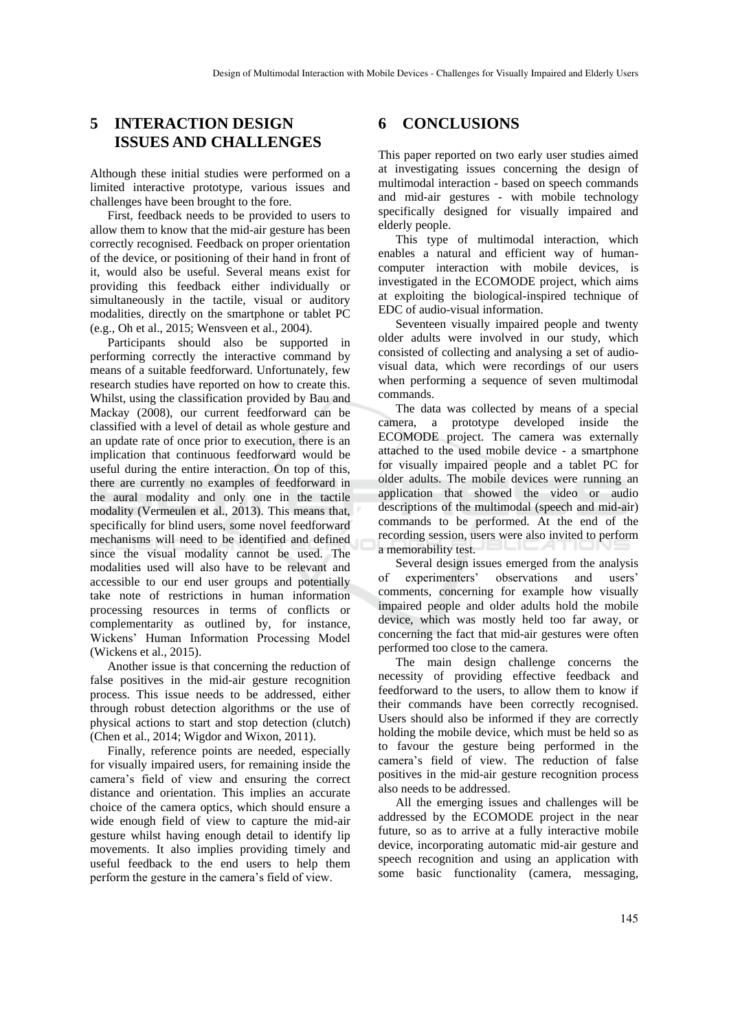## **5 INTERACTION DESIGN ISSUES AND CHALLENGES**

Although these initial studies were performed on a limited interactive prototype, various issues and challenges have been brought to the fore.

First, feedback needs to be provided to users to allow them to know that the mid-air gesture has been correctly recognised. Feedback on proper orientation of the device, or positioning of their hand in front of it, would also be useful. Several means exist for providing this feedback either individually or simultaneously in the tactile, visual or auditory modalities, directly on the smartphone or tablet PC (e.g., Oh et al., 2015; Wensveen et al., 2004).

Participants should also be supported in performing correctly the interactive command by means of a suitable feedforward. Unfortunately, few research studies have reported on how to create this. Whilst, using the classification provided by Bau and Mackay (2008), our current feedforward can be classified with a level of detail as whole gesture and an update rate of once prior to execution, there is an implication that continuous feedforward would be useful during the entire interaction. On top of this, there are currently no examples of feedforward in the aural modality and only one in the tactile modality (Vermeulen et al., 2013). This means that, specifically for blind users, some novel feedforward mechanisms will need to be identified and defined since the visual modality cannot be used. The modalities used will also have to be relevant and accessible to our end user groups and potentially take note of restrictions in human information processing resources in terms of conflicts or complementarity as outlined by, for instance, Wickens' Human Information Processing Model (Wickens et al., 2015).

Another issue is that concerning the reduction of false positives in the mid-air gesture recognition process. This issue needs to be addressed, either through robust detection algorithms or the use of physical actions to start and stop detection (clutch) (Chen et al., 2014; Wigdor and Wixon, 2011).

Finally, reference points are needed, especially for visually impaired users, for remaining inside the camera's field of view and ensuring the correct distance and orientation. This implies an accurate choice of the camera optics, which should ensure a wide enough field of view to capture the mid-air gesture whilst having enough detail to identify lip movements. It also implies providing timely and useful feedback to the end users to help them perform the gesture in the camera's field of view.

## **6 CONCLUSIONS**

This paper reported on two early user studies aimed at investigating issues concerning the design of multimodal interaction - based on speech commands and mid-air gestures - with mobile technology specifically designed for visually impaired and elderly people.

This type of multimodal interaction, which enables a natural and efficient way of humancomputer interaction with mobile devices, is investigated in the ECOMODE project, which aims at exploiting the biological-inspired technique of EDC of audio-visual information.

Seventeen visually impaired people and twenty older adults were involved in our study, which consisted of collecting and analysing a set of audiovisual data, which were recordings of our users when performing a sequence of seven multimodal commands.

The data was collected by means of a special camera, a prototype developed inside the ECOMODE project. The camera was externally attached to the used mobile device - a smartphone for visually impaired people and a tablet PC for older adults. The mobile devices were running an application that showed the video or audio descriptions of the multimodal (speech and mid-air) commands to be performed. At the end of the recording session, users were also invited to perform a memorability test.

Several design issues emerged from the analysis of experimenters' observations and users' comments, concerning for example how visually impaired people and older adults hold the mobile device, which was mostly held too far away, or concerning the fact that mid-air gestures were often performed too close to the camera.

The main design challenge concerns the necessity of providing effective feedback and feedforward to the users, to allow them to know if their commands have been correctly recognised. Users should also be informed if they are correctly holding the mobile device, which must be held so as to favour the gesture being performed in the camera's field of view. The reduction of false positives in the mid-air gesture recognition process also needs to be addressed.

All the emerging issues and challenges will be addressed by the ECOMODE project in the near future, so as to arrive at a fully interactive mobile device, incorporating automatic mid-air gesture and speech recognition and using an application with some basic functionality (camera, messaging,